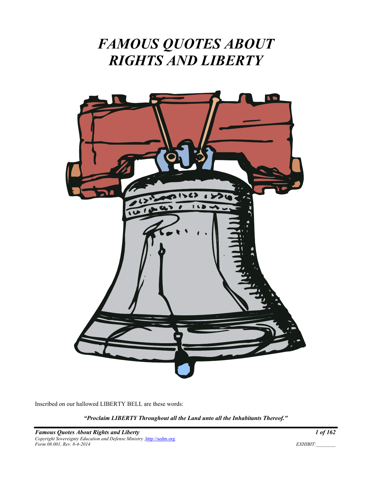## *FAMOUS QUOTES ABOUT RIGHTS AND LIBERTY*



Inscribed on our hallowed LIBERTY BELL are these words:

*"Proclaim LIBERTY Throughout all the Land unto all the Inhabitants Thereof."*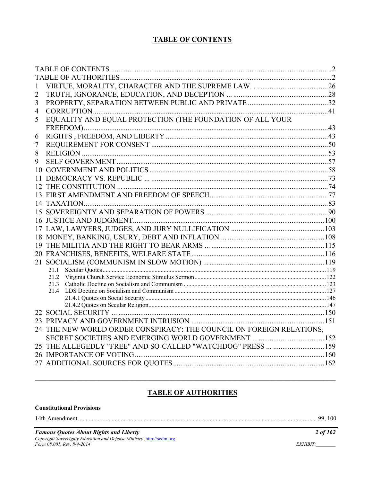#### **TABLE OF CONTENTS**

| 1  |                                                                      |  |
|----|----------------------------------------------------------------------|--|
| 2  |                                                                      |  |
| 3  |                                                                      |  |
| 4  |                                                                      |  |
| 5  | EQUALITY AND EQUAL PROTECTION (THE FOUNDATION OF ALL YOUR            |  |
|    |                                                                      |  |
| 6  |                                                                      |  |
| 7  |                                                                      |  |
| 8  |                                                                      |  |
| 9  |                                                                      |  |
| 10 |                                                                      |  |
| 11 |                                                                      |  |
|    |                                                                      |  |
|    |                                                                      |  |
|    |                                                                      |  |
|    |                                                                      |  |
|    |                                                                      |  |
|    |                                                                      |  |
|    |                                                                      |  |
|    |                                                                      |  |
|    |                                                                      |  |
|    |                                                                      |  |
|    | 21.1                                                                 |  |
|    | 21.2                                                                 |  |
|    |                                                                      |  |
|    |                                                                      |  |
|    |                                                                      |  |
|    |                                                                      |  |
|    |                                                                      |  |
|    | 24 THE NEW WORLD ORDER CONSPIRACY: THE COUNCIL ON FOREIGN RELATIONS, |  |
|    |                                                                      |  |
|    | 25 THE ALLEGEDLY "FREE" AND SO-CALLED "WATCHDOG" PRESS  159          |  |
|    |                                                                      |  |
|    |                                                                      |  |
|    |                                                                      |  |

### **TABLE OF AUTHORITIES**

#### **Constitutional Provisions**

**Famous Quotes About Rights and Liberty**<br>Copyright Sovereignty Education and Defense Ministry, http://sedm.org<br>Form 08.001, Rev. 8-4-2014

 $2$  of 162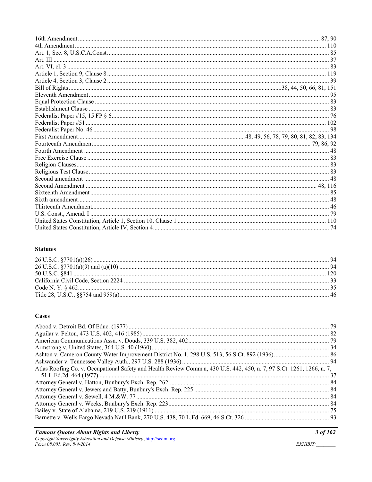#### **Statutes**

#### **Cases**

| Atlas Roofing Co. v. Occupational Safety and Health Review Comm'n, 430 U.S. 442, 450, n. 7, 97 S.Ct. 1261, 1266, n. 7, |  |
|------------------------------------------------------------------------------------------------------------------------|--|
|                                                                                                                        |  |
|                                                                                                                        |  |
|                                                                                                                        |  |
|                                                                                                                        |  |
|                                                                                                                        |  |
|                                                                                                                        |  |
|                                                                                                                        |  |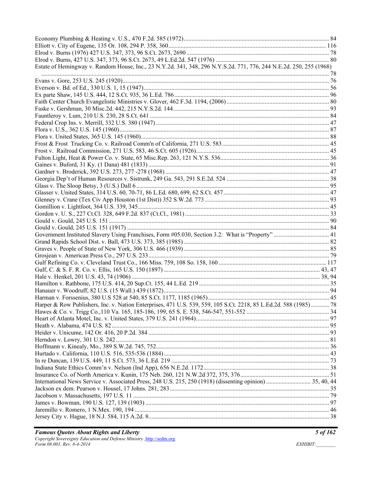| Estate of Hemingway v. Random House, Inc., 23 N.Y.2d. 341, 348, 296 N.Y.S.2d. 771, 776, 244 N.E.2d. 250, 255 (1968) |  |
|---------------------------------------------------------------------------------------------------------------------|--|
|                                                                                                                     |  |
|                                                                                                                     |  |
|                                                                                                                     |  |
|                                                                                                                     |  |
|                                                                                                                     |  |
|                                                                                                                     |  |
|                                                                                                                     |  |
|                                                                                                                     |  |
|                                                                                                                     |  |
|                                                                                                                     |  |
|                                                                                                                     |  |
|                                                                                                                     |  |
|                                                                                                                     |  |
|                                                                                                                     |  |
|                                                                                                                     |  |
|                                                                                                                     |  |
|                                                                                                                     |  |
|                                                                                                                     |  |
|                                                                                                                     |  |
|                                                                                                                     |  |
|                                                                                                                     |  |
|                                                                                                                     |  |
|                                                                                                                     |  |
|                                                                                                                     |  |
|                                                                                                                     |  |
|                                                                                                                     |  |
|                                                                                                                     |  |
|                                                                                                                     |  |
|                                                                                                                     |  |
|                                                                                                                     |  |
|                                                                                                                     |  |
|                                                                                                                     |  |
| Harper & Row Publishers, Inc. v. Nation Enterprises, 471 U.S. 539, 559, 105 S.Ct. 2218, 85 L.Ed.2d. 588 (1985) 78   |  |
|                                                                                                                     |  |
|                                                                                                                     |  |
|                                                                                                                     |  |
|                                                                                                                     |  |
|                                                                                                                     |  |
|                                                                                                                     |  |
|                                                                                                                     |  |
|                                                                                                                     |  |
|                                                                                                                     |  |
|                                                                                                                     |  |
| International News Service v. Associated Press, 248 U.S. 215, 250 (1918) (dissenting opinion)  35, 40, 44           |  |
|                                                                                                                     |  |
|                                                                                                                     |  |
|                                                                                                                     |  |
|                                                                                                                     |  |
|                                                                                                                     |  |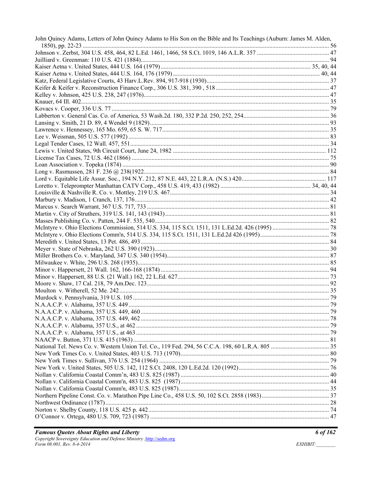| John Quincy Adams, Letters of John Quincy Adams to His Son on the Bible and Its Teachings (Auburn: James M. Alden, |  |
|--------------------------------------------------------------------------------------------------------------------|--|
|                                                                                                                    |  |
|                                                                                                                    |  |
|                                                                                                                    |  |
|                                                                                                                    |  |
|                                                                                                                    |  |
|                                                                                                                    |  |
|                                                                                                                    |  |
|                                                                                                                    |  |
|                                                                                                                    |  |
|                                                                                                                    |  |
|                                                                                                                    |  |
|                                                                                                                    |  |
|                                                                                                                    |  |
|                                                                                                                    |  |
|                                                                                                                    |  |
|                                                                                                                    |  |
|                                                                                                                    |  |
|                                                                                                                    |  |
|                                                                                                                    |  |
|                                                                                                                    |  |
|                                                                                                                    |  |
|                                                                                                                    |  |
|                                                                                                                    |  |
|                                                                                                                    |  |
|                                                                                                                    |  |
|                                                                                                                    |  |
|                                                                                                                    |  |
|                                                                                                                    |  |
|                                                                                                                    |  |
|                                                                                                                    |  |
|                                                                                                                    |  |
|                                                                                                                    |  |
|                                                                                                                    |  |
|                                                                                                                    |  |
|                                                                                                                    |  |
|                                                                                                                    |  |
|                                                                                                                    |  |
|                                                                                                                    |  |
|                                                                                                                    |  |
|                                                                                                                    |  |
|                                                                                                                    |  |
|                                                                                                                    |  |
|                                                                                                                    |  |
|                                                                                                                    |  |
|                                                                                                                    |  |
|                                                                                                                    |  |
|                                                                                                                    |  |
|                                                                                                                    |  |
|                                                                                                                    |  |
|                                                                                                                    |  |
|                                                                                                                    |  |
|                                                                                                                    |  |
|                                                                                                                    |  |
|                                                                                                                    |  |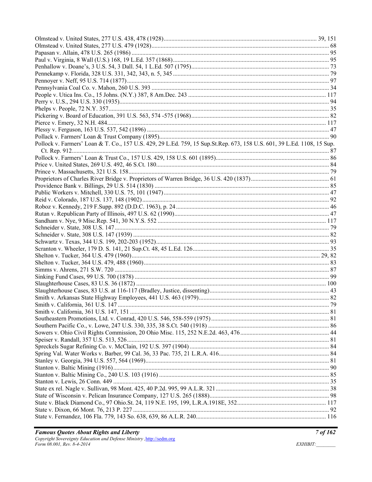| Pollock v. Farmers' Loan & T. Co., 157 U.S. 429, 29 L.Ed. 759, 15 Sup.St.Rep. 673, 158 U.S. 601, 39 L.Ed. 1108, 15 Sup. |  |
|-------------------------------------------------------------------------------------------------------------------------|--|
|                                                                                                                         |  |
|                                                                                                                         |  |
|                                                                                                                         |  |
|                                                                                                                         |  |
|                                                                                                                         |  |
|                                                                                                                         |  |
|                                                                                                                         |  |
|                                                                                                                         |  |
|                                                                                                                         |  |
|                                                                                                                         |  |
|                                                                                                                         |  |
|                                                                                                                         |  |
|                                                                                                                         |  |
|                                                                                                                         |  |
|                                                                                                                         |  |
|                                                                                                                         |  |
|                                                                                                                         |  |
|                                                                                                                         |  |
|                                                                                                                         |  |
|                                                                                                                         |  |
|                                                                                                                         |  |
|                                                                                                                         |  |
|                                                                                                                         |  |
|                                                                                                                         |  |
|                                                                                                                         |  |
|                                                                                                                         |  |
|                                                                                                                         |  |
|                                                                                                                         |  |
|                                                                                                                         |  |
|                                                                                                                         |  |
|                                                                                                                         |  |
|                                                                                                                         |  |
|                                                                                                                         |  |
|                                                                                                                         |  |
|                                                                                                                         |  |
|                                                                                                                         |  |
|                                                                                                                         |  |
|                                                                                                                         |  |
|                                                                                                                         |  |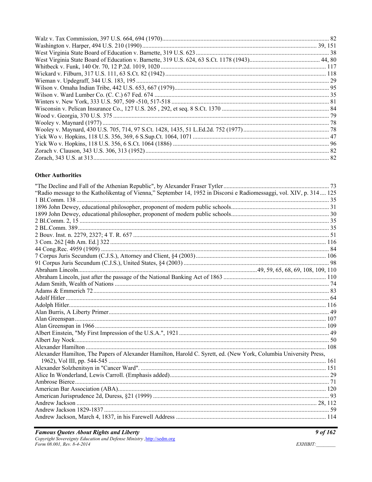#### **Other Authorities**

| "Radio message to the Katholikentag of Vienna," September 14, 1952 in Discorsi e Radiomessaggi, vol. XIV, p. 314 125 |  |
|----------------------------------------------------------------------------------------------------------------------|--|
|                                                                                                                      |  |
|                                                                                                                      |  |
|                                                                                                                      |  |
|                                                                                                                      |  |
|                                                                                                                      |  |
|                                                                                                                      |  |
|                                                                                                                      |  |
|                                                                                                                      |  |
|                                                                                                                      |  |
|                                                                                                                      |  |
|                                                                                                                      |  |
|                                                                                                                      |  |
|                                                                                                                      |  |
|                                                                                                                      |  |
|                                                                                                                      |  |
|                                                                                                                      |  |
|                                                                                                                      |  |
|                                                                                                                      |  |
|                                                                                                                      |  |
|                                                                                                                      |  |
|                                                                                                                      |  |
|                                                                                                                      |  |
| Alexander Hamilton, The Papers of Alexander Hamilton, Harold C. Syrett, ed. (New York, Columbia University Press,    |  |
|                                                                                                                      |  |
|                                                                                                                      |  |
|                                                                                                                      |  |
|                                                                                                                      |  |
|                                                                                                                      |  |
|                                                                                                                      |  |
|                                                                                                                      |  |
|                                                                                                                      |  |
|                                                                                                                      |  |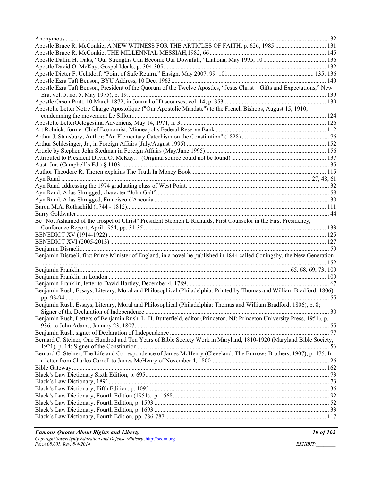| Apostle Bruce R. McConkie, A NEW WITNESS FOR THE ARTICLES OF FAITH, p. 626, 1985  131                                    |  |
|--------------------------------------------------------------------------------------------------------------------------|--|
|                                                                                                                          |  |
|                                                                                                                          |  |
|                                                                                                                          |  |
|                                                                                                                          |  |
|                                                                                                                          |  |
| Apostle Ezra Taft Benson, President of the Quorum of the Twelve Apostles, "Jesus Christ-Gifts and Expectations," New     |  |
|                                                                                                                          |  |
|                                                                                                                          |  |
| Apostolic Letter Notre Charge Apostolique ("Our Apostolic Mandate") to the French Bishops, August 15, 1910,              |  |
|                                                                                                                          |  |
|                                                                                                                          |  |
|                                                                                                                          |  |
|                                                                                                                          |  |
|                                                                                                                          |  |
|                                                                                                                          |  |
|                                                                                                                          |  |
|                                                                                                                          |  |
|                                                                                                                          |  |
|                                                                                                                          |  |
|                                                                                                                          |  |
|                                                                                                                          |  |
|                                                                                                                          |  |
|                                                                                                                          |  |
|                                                                                                                          |  |
| Be "Not Ashamed of the Gospel of Christ" President Stephen L Richards, First Counselor in the First Presidency,          |  |
|                                                                                                                          |  |
|                                                                                                                          |  |
|                                                                                                                          |  |
|                                                                                                                          |  |
| Benjamin Disraeli, first Prime Minister of England, in a novel he published in 1844 called Coningsby, the New Generation |  |
|                                                                                                                          |  |
|                                                                                                                          |  |
|                                                                                                                          |  |
|                                                                                                                          |  |
| Benjamin Rush, Essays, Literary, Moral and Philosophical (Philadelphia: Printed by Thomas and William Bradford, 1806),   |  |
| Benjamin Rush, Essays, Literary, Moral and Philosophical (Philadelphia: Thomas and William Bradford, 1806), p. 8;        |  |
|                                                                                                                          |  |
| Benjamin Rush, Letters of Benjamin Rush, L. H. Butterfield, editor (Princeton, NJ: Princeton University Press, 1951), p. |  |
|                                                                                                                          |  |
|                                                                                                                          |  |
| Bernard C. Steiner, One Hundred and Ten Years of Bible Society Work in Maryland, 1810-1920 (Maryland Bible Society,      |  |
|                                                                                                                          |  |
| Bernard C. Steiner, The Life and Correspondence of James McHenry (Cleveland: The Burrows Brothers, 1907), p. 475. In     |  |
|                                                                                                                          |  |
|                                                                                                                          |  |
|                                                                                                                          |  |
|                                                                                                                          |  |
|                                                                                                                          |  |
|                                                                                                                          |  |
|                                                                                                                          |  |
|                                                                                                                          |  |
|                                                                                                                          |  |
|                                                                                                                          |  |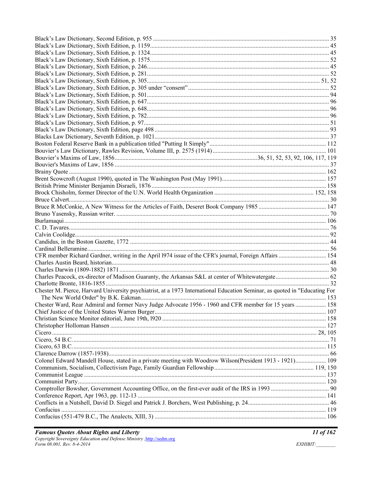| Chester M. Pierce, Harvard University psychiatrist, at a 1973 International Education Seminar, as quoted in "Educating For |  |
|----------------------------------------------------------------------------------------------------------------------------|--|
|                                                                                                                            |  |
| Chester Ward, Rear Admiral and former Navy Judge Advocate 1956 - 1960 and CFR member for 15 years  158                     |  |
|                                                                                                                            |  |
|                                                                                                                            |  |
|                                                                                                                            |  |
|                                                                                                                            |  |
|                                                                                                                            |  |
|                                                                                                                            |  |
|                                                                                                                            |  |
| Colonel Edward Mandell House, stated in a private meeting with Woodrow Wilson(President 1913 - 1921) 109                   |  |
|                                                                                                                            |  |
|                                                                                                                            |  |
|                                                                                                                            |  |
|                                                                                                                            |  |
|                                                                                                                            |  |
|                                                                                                                            |  |
|                                                                                                                            |  |
|                                                                                                                            |  |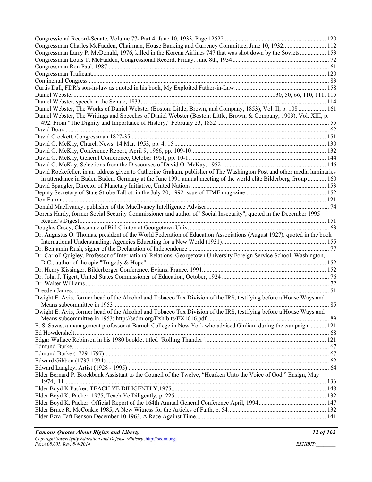| Congressman Charles McFadden, Chairman, House Banking and Currency Committee, June 10, 1932 112                         |  |
|-------------------------------------------------------------------------------------------------------------------------|--|
| Congressman Larry P. McDonald, 1976, killed in the Korean Airlines 747 that was shot down by the Soviets 153            |  |
|                                                                                                                         |  |
|                                                                                                                         |  |
|                                                                                                                         |  |
|                                                                                                                         |  |
|                                                                                                                         |  |
|                                                                                                                         |  |
|                                                                                                                         |  |
| Daniel Webster, The Works of Daniel Webster (Boston: Little, Brown, and Company, 1853), Vol. II, p. 108  161            |  |
|                                                                                                                         |  |
| Daniel Webster, The Writings and Speeches of Daniel Webster (Boston: Little, Brown, & Company, 1903), Vol. XIII, p.     |  |
|                                                                                                                         |  |
|                                                                                                                         |  |
|                                                                                                                         |  |
|                                                                                                                         |  |
|                                                                                                                         |  |
|                                                                                                                         |  |
|                                                                                                                         |  |
| David Rockefeller, in an address given to Catherine Graham, publisher of The Washington Post and other media luminaries |  |
| in attendance in Baden Baden, Germany at the June 1991 annual meeting of the world elite Bilderberg Group  160          |  |
|                                                                                                                         |  |
|                                                                                                                         |  |
|                                                                                                                         |  |
|                                                                                                                         |  |
| Dorcas Hardy, former Social Security Commissioner and author of "Social Insecurity", quoted in the December 1995        |  |
|                                                                                                                         |  |
| Dr. Augustus O. Thomas, president of the World Federation of Education Associations (August 1927), quoted in the book   |  |
|                                                                                                                         |  |
|                                                                                                                         |  |
|                                                                                                                         |  |
| Dr. Carroll Quigley, Professor of International Relations, Georgetown University Foreign Service School, Washington,    |  |
|                                                                                                                         |  |
|                                                                                                                         |  |
|                                                                                                                         |  |
|                                                                                                                         |  |
|                                                                                                                         |  |
| Dwight E. Avis, former head of the Alcohol and Tobacco Tax Division of the IRS, testifying before a House Ways and      |  |
|                                                                                                                         |  |
| Dwight E. Avis, former head of the Alcohol and Tobacco Tax Division of the IRS, testifying before a House Ways and      |  |
|                                                                                                                         |  |
| E. S. Savas, a management professor at Baruch College in New York who advised Giuliani during the campaign  121         |  |
|                                                                                                                         |  |
|                                                                                                                         |  |
|                                                                                                                         |  |
|                                                                                                                         |  |
|                                                                                                                         |  |
|                                                                                                                         |  |
| Elder Bernard P. Brockbank Assistant to the Council of the Twelve, "Hearken Unto the Voice of God," Ensign, May         |  |
|                                                                                                                         |  |
|                                                                                                                         |  |
|                                                                                                                         |  |
|                                                                                                                         |  |
|                                                                                                                         |  |
|                                                                                                                         |  |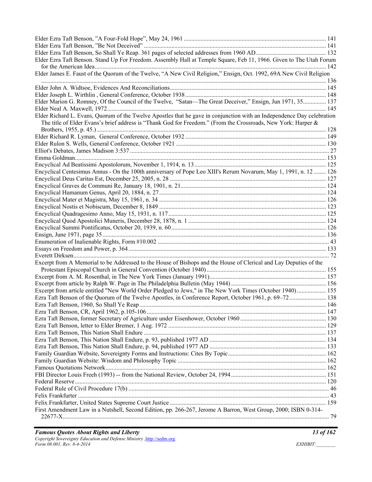| Elder Ezra Taft Benson. Stand Up For Freedom. Assembly Hall at Temple Square, Feb 11, 1966. Given to The Utah Forum                                                                                                                     |  |
|-----------------------------------------------------------------------------------------------------------------------------------------------------------------------------------------------------------------------------------------|--|
| Elder James E. Faust of the Quorum of the Twelve, "A New Civil Religion," Ensign, Oct. 1992, 69A New Civil Religion                                                                                                                     |  |
|                                                                                                                                                                                                                                         |  |
|                                                                                                                                                                                                                                         |  |
| Elder Marion G. Romney, Of the Council of the Twelve, "Satan-The Great Deceiver," Ensign, Jun 1971, 35 137                                                                                                                              |  |
|                                                                                                                                                                                                                                         |  |
| Elder Richard L. Evans, Quorum of the Twelve Apostles that he gave in conjunction with an Independence Day celebration<br>The title of Elder Evans's brief address is "Thank God for Freedom." (From the Crossroads, New York: Harper & |  |
|                                                                                                                                                                                                                                         |  |
|                                                                                                                                                                                                                                         |  |
|                                                                                                                                                                                                                                         |  |
|                                                                                                                                                                                                                                         |  |
|                                                                                                                                                                                                                                         |  |
|                                                                                                                                                                                                                                         |  |
| Encyclical Centesimus Annus - On the 100th anniversary of Pope Leo XIII's Rerum Novarum, May 1, 1991, n. 12  126                                                                                                                        |  |
|                                                                                                                                                                                                                                         |  |
|                                                                                                                                                                                                                                         |  |
|                                                                                                                                                                                                                                         |  |
|                                                                                                                                                                                                                                         |  |
|                                                                                                                                                                                                                                         |  |
|                                                                                                                                                                                                                                         |  |
|                                                                                                                                                                                                                                         |  |
|                                                                                                                                                                                                                                         |  |
|                                                                                                                                                                                                                                         |  |
|                                                                                                                                                                                                                                         |  |
|                                                                                                                                                                                                                                         |  |
| Excerpt from A Memorial to be Addressed to the House of Bishops and the House of Clerical and Lay Deputies of the                                                                                                                       |  |
|                                                                                                                                                                                                                                         |  |
|                                                                                                                                                                                                                                         |  |
|                                                                                                                                                                                                                                         |  |
| Excerpt from article entitled "New World Order Pledged to Jews," in The New York Times (October 1940) 155                                                                                                                               |  |
| Ezra Taft Benson of the Quorum of the Twelve Apostles, in Conference Report, October 1961, p. 69–72 138                                                                                                                                 |  |
|                                                                                                                                                                                                                                         |  |
|                                                                                                                                                                                                                                         |  |
|                                                                                                                                                                                                                                         |  |
|                                                                                                                                                                                                                                         |  |
|                                                                                                                                                                                                                                         |  |
|                                                                                                                                                                                                                                         |  |
|                                                                                                                                                                                                                                         |  |
|                                                                                                                                                                                                                                         |  |
|                                                                                                                                                                                                                                         |  |
|                                                                                                                                                                                                                                         |  |
|                                                                                                                                                                                                                                         |  |
|                                                                                                                                                                                                                                         |  |
|                                                                                                                                                                                                                                         |  |
|                                                                                                                                                                                                                                         |  |
|                                                                                                                                                                                                                                         |  |
| First Amendment Law in a Nutshell, Second Edition, pp. 266-267, Jerome A Barron, West Group, 2000; ISBN 0-314-                                                                                                                          |  |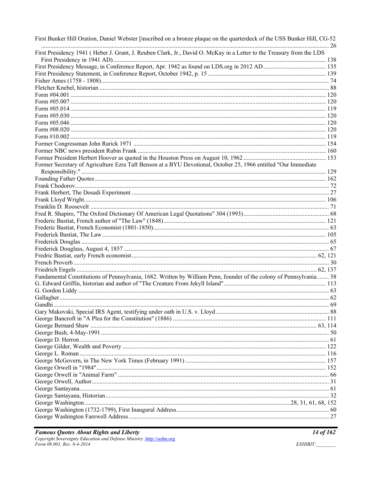| First Bunker Hill Oration, Daniel Webster [inscribed on a bronze plaque on the quarterdeck of the USS Bunker Hill, CG-52 |  |
|--------------------------------------------------------------------------------------------------------------------------|--|
| First Presidency 1941 (Heber J. Grant, J. Reuben Clark, Jr., David O. McKay in a Letter to the Treasury from the LDS     |  |
|                                                                                                                          |  |
|                                                                                                                          |  |
|                                                                                                                          |  |
|                                                                                                                          |  |
|                                                                                                                          |  |
|                                                                                                                          |  |
|                                                                                                                          |  |
|                                                                                                                          |  |
|                                                                                                                          |  |
|                                                                                                                          |  |
|                                                                                                                          |  |
|                                                                                                                          |  |
|                                                                                                                          |  |
|                                                                                                                          |  |
| Former Secretary of Agriculture Ezra Taft Benson at a BYU Devotional, October 25, 1966 entitled "Our Immediate           |  |
|                                                                                                                          |  |
|                                                                                                                          |  |
|                                                                                                                          |  |
|                                                                                                                          |  |
|                                                                                                                          |  |
|                                                                                                                          |  |
|                                                                                                                          |  |
|                                                                                                                          |  |
|                                                                                                                          |  |
|                                                                                                                          |  |
|                                                                                                                          |  |
|                                                                                                                          |  |
|                                                                                                                          |  |
|                                                                                                                          |  |
|                                                                                                                          |  |
| Fundamental Constitutions of Pennsylvania, 1682. Written by William Penn, founder of the colony of Pennsylvania 58       |  |
|                                                                                                                          |  |
|                                                                                                                          |  |
|                                                                                                                          |  |
|                                                                                                                          |  |
|                                                                                                                          |  |
|                                                                                                                          |  |
|                                                                                                                          |  |
|                                                                                                                          |  |
|                                                                                                                          |  |
|                                                                                                                          |  |
|                                                                                                                          |  |
|                                                                                                                          |  |
|                                                                                                                          |  |
|                                                                                                                          |  |
|                                                                                                                          |  |
|                                                                                                                          |  |
|                                                                                                                          |  |
|                                                                                                                          |  |
|                                                                                                                          |  |
|                                                                                                                          |  |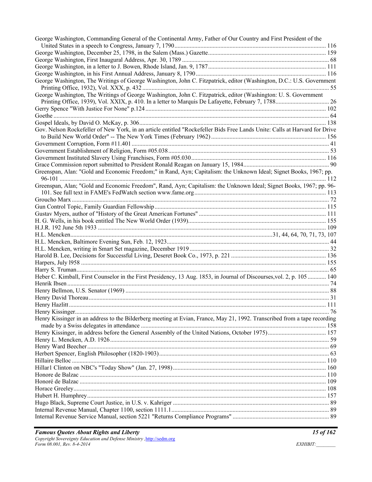| George Washington, Commanding General of the Continental Army, Father of Our Country and First President of the            |  |
|----------------------------------------------------------------------------------------------------------------------------|--|
|                                                                                                                            |  |
|                                                                                                                            |  |
|                                                                                                                            |  |
|                                                                                                                            |  |
|                                                                                                                            |  |
| George Washington, The Writings of George Washington, John C. Fitzpatrick, editor (Washington, D.C.: U.S. Government       |  |
| George Washington, The Writings of George Washington, John C. Fitzpatrick, editor (Washington: U. S. Government            |  |
|                                                                                                                            |  |
|                                                                                                                            |  |
|                                                                                                                            |  |
|                                                                                                                            |  |
|                                                                                                                            |  |
| Gov. Nelson Rockefeller of New York, in an article entitled "Rockefeller Bids Free Lands Unite: Calls at Harvard for Drive |  |
|                                                                                                                            |  |
|                                                                                                                            |  |
|                                                                                                                            |  |
|                                                                                                                            |  |
|                                                                                                                            |  |
| Greenspan, Alan: "Gold and Economic Freedom;" in Rand, Ayn; Capitalism: the Unknown Ideal; Signet Books, 1967; pp.         |  |
| Greenspan, Alan; "Gold and Economic Freedom", Rand, Ayn; Capitalism: the Unknown Ideal; Signet Books, 1967; pp. 96-        |  |
|                                                                                                                            |  |
|                                                                                                                            |  |
|                                                                                                                            |  |
|                                                                                                                            |  |
|                                                                                                                            |  |
|                                                                                                                            |  |
|                                                                                                                            |  |
|                                                                                                                            |  |
|                                                                                                                            |  |
|                                                                                                                            |  |
|                                                                                                                            |  |
|                                                                                                                            |  |
|                                                                                                                            |  |
|                                                                                                                            |  |
| Heber C. Kimball, First Counselor in the First Presidency, 13 Aug. 1853, in Journal of Discourses, vol. 2, p. 105  140     |  |
|                                                                                                                            |  |
|                                                                                                                            |  |
|                                                                                                                            |  |
|                                                                                                                            |  |
|                                                                                                                            |  |
| Henry Kissinger in an address to the Bilderberg meeting at Evian, France, May 21, 1992. Transcribed from a tape recording  |  |
|                                                                                                                            |  |
|                                                                                                                            |  |
|                                                                                                                            |  |
|                                                                                                                            |  |
|                                                                                                                            |  |
|                                                                                                                            |  |
|                                                                                                                            |  |
|                                                                                                                            |  |
|                                                                                                                            |  |
|                                                                                                                            |  |
|                                                                                                                            |  |
|                                                                                                                            |  |
|                                                                                                                            |  |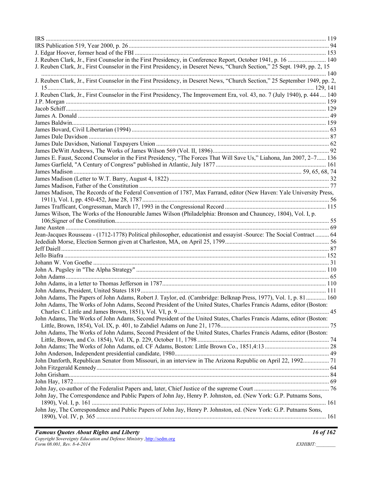| J. Reuben Clark, Jr., First Counselor in the First Presidency, in Conference Report, October 1941, p. 16  140                                                                                                                         |  |
|---------------------------------------------------------------------------------------------------------------------------------------------------------------------------------------------------------------------------------------|--|
| J. Reuben Clark, Jr., First Counselor in the First Presidency, in Deseret News, "Church Section," 25 Sept. 1949, pp. 2, 15                                                                                                            |  |
| J. Reuben Clark, Jr., First Counselor in the First Presidency, in Deseret News, "Church Section," 25 September 1949, pp. 2,                                                                                                           |  |
| J. Reuben Clark, Jr., First Counselor in the First Presidency, The Improvement Era, vol. 43, no. 7 (July 1940), p. 444  140                                                                                                           |  |
|                                                                                                                                                                                                                                       |  |
|                                                                                                                                                                                                                                       |  |
|                                                                                                                                                                                                                                       |  |
|                                                                                                                                                                                                                                       |  |
|                                                                                                                                                                                                                                       |  |
|                                                                                                                                                                                                                                       |  |
|                                                                                                                                                                                                                                       |  |
|                                                                                                                                                                                                                                       |  |
| James E. Faust, Second Counselor in the First Presidency, "The Forces That Will Save Us," Liahona, Jan 2007, 2-7 136                                                                                                                  |  |
|                                                                                                                                                                                                                                       |  |
|                                                                                                                                                                                                                                       |  |
|                                                                                                                                                                                                                                       |  |
|                                                                                                                                                                                                                                       |  |
| James Madison, The Records of the Federal Convention of 1787, Max Farrand, editor (New Haven: Yale University Press,                                                                                                                  |  |
|                                                                                                                                                                                                                                       |  |
| James Wilson, The Works of the Honourable James Wilson (Philadelphia: Bronson and Chauncey, 1804), Vol. I, p.                                                                                                                         |  |
|                                                                                                                                                                                                                                       |  |
|                                                                                                                                                                                                                                       |  |
| Jean-Jacques Rousseau - (1712-1778) Political philosopher, educationist and essayist -Source: The Social Contract  64                                                                                                                 |  |
|                                                                                                                                                                                                                                       |  |
|                                                                                                                                                                                                                                       |  |
|                                                                                                                                                                                                                                       |  |
|                                                                                                                                                                                                                                       |  |
|                                                                                                                                                                                                                                       |  |
|                                                                                                                                                                                                                                       |  |
|                                                                                                                                                                                                                                       |  |
|                                                                                                                                                                                                                                       |  |
| John Adams, The Papers of John Adams, Robert J. Taylor, ed. (Cambridge: Belknap Press, 1977), Vol. 1, p. 81 160<br>John Adams, The Works of John Adams, Second President of the United States, Charles Francis Adams, editor (Boston: |  |
| John Adams, The Works of John Adams, Second President of the United States, Charles Francis Adams, editor (Boston:                                                                                                                    |  |
|                                                                                                                                                                                                                                       |  |
| John Adams, The Works of John Adams, Second President of the United States, Charles Francis Adams, editor (Boston:                                                                                                                    |  |
|                                                                                                                                                                                                                                       |  |
|                                                                                                                                                                                                                                       |  |
|                                                                                                                                                                                                                                       |  |
| John Danforth, Republican Senator from Missouri, in an interview in The Arizona Republic on April 22, 1992 71                                                                                                                         |  |
|                                                                                                                                                                                                                                       |  |
|                                                                                                                                                                                                                                       |  |
|                                                                                                                                                                                                                                       |  |
|                                                                                                                                                                                                                                       |  |
| John Jay, The Correspondence and Public Papers of John Jay, Henry P. Johnston, ed. (New York: G.P. Putnams Sons,                                                                                                                      |  |
| John Jay, The Correspondence and Public Papers of John Jay, Henry P. Johnston, ed. (New York: G.P. Putnams Sons,                                                                                                                      |  |
|                                                                                                                                                                                                                                       |  |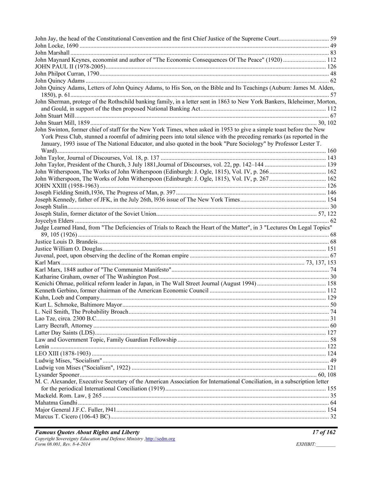| John Maynard Keynes, economist and author of "The Economic Consequences Of The Peace" (1920) 112                                                                                                                                            |  |
|---------------------------------------------------------------------------------------------------------------------------------------------------------------------------------------------------------------------------------------------|--|
|                                                                                                                                                                                                                                             |  |
|                                                                                                                                                                                                                                             |  |
|                                                                                                                                                                                                                                             |  |
| John Quincy Adams, Letters of John Quincy Adams, to His Son, on the Bible and Its Teachings (Auburn: James M. Alden,                                                                                                                        |  |
| John Sherman, protege of the Rothschild banking family, in a letter sent in 1863 to New York Bankers, Ikleheimer, Morton,                                                                                                                   |  |
|                                                                                                                                                                                                                                             |  |
|                                                                                                                                                                                                                                             |  |
| John Swinton, former chief of staff for the New York Times, when asked in 1953 to give a simple toast before the New                                                                                                                        |  |
| York Press Club, stunned a roomful of admiring peers into total silence with the preceding remarks (as reported in the<br>January, 1993 issue of The National Educator, and also quoted in the book "Pure Sociology" by Professor Lester T. |  |
|                                                                                                                                                                                                                                             |  |
|                                                                                                                                                                                                                                             |  |
|                                                                                                                                                                                                                                             |  |
|                                                                                                                                                                                                                                             |  |
|                                                                                                                                                                                                                                             |  |
|                                                                                                                                                                                                                                             |  |
|                                                                                                                                                                                                                                             |  |
|                                                                                                                                                                                                                                             |  |
|                                                                                                                                                                                                                                             |  |
|                                                                                                                                                                                                                                             |  |
| Judge Learned Hand, from "The Deficiencies of Trials to Reach the Heart of the Matter", in 3 "Lectures On Legal Topics"                                                                                                                     |  |
|                                                                                                                                                                                                                                             |  |
|                                                                                                                                                                                                                                             |  |
|                                                                                                                                                                                                                                             |  |
|                                                                                                                                                                                                                                             |  |
|                                                                                                                                                                                                                                             |  |
|                                                                                                                                                                                                                                             |  |
|                                                                                                                                                                                                                                             |  |
|                                                                                                                                                                                                                                             |  |
|                                                                                                                                                                                                                                             |  |
|                                                                                                                                                                                                                                             |  |
|                                                                                                                                                                                                                                             |  |
|                                                                                                                                                                                                                                             |  |
|                                                                                                                                                                                                                                             |  |
|                                                                                                                                                                                                                                             |  |
|                                                                                                                                                                                                                                             |  |
|                                                                                                                                                                                                                                             |  |
|                                                                                                                                                                                                                                             |  |
|                                                                                                                                                                                                                                             |  |
|                                                                                                                                                                                                                                             |  |
|                                                                                                                                                                                                                                             |  |
| M. C. Alexander, Executive Secretary of the American Association for International Conciliation, in a subscription letter                                                                                                                   |  |
|                                                                                                                                                                                                                                             |  |
|                                                                                                                                                                                                                                             |  |
|                                                                                                                                                                                                                                             |  |
|                                                                                                                                                                                                                                             |  |
|                                                                                                                                                                                                                                             |  |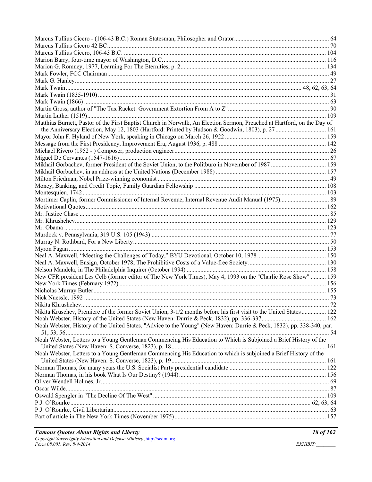| Matthias Burnett, Pastor of the First Baptist Church in Norwalk, An Election Sermon, Preached at Hartford, on the Day of |  |
|--------------------------------------------------------------------------------------------------------------------------|--|
|                                                                                                                          |  |
|                                                                                                                          |  |
|                                                                                                                          |  |
|                                                                                                                          |  |
|                                                                                                                          |  |
|                                                                                                                          |  |
|                                                                                                                          |  |
|                                                                                                                          |  |
|                                                                                                                          |  |
|                                                                                                                          |  |
|                                                                                                                          |  |
|                                                                                                                          |  |
|                                                                                                                          |  |
|                                                                                                                          |  |
|                                                                                                                          |  |
|                                                                                                                          |  |
|                                                                                                                          |  |
|                                                                                                                          |  |
|                                                                                                                          |  |
|                                                                                                                          |  |
|                                                                                                                          |  |
| New CFR president Les Celb (former editor of The New York Times), May 4, 1993 on the "Charlie Rose Show"  159            |  |
|                                                                                                                          |  |
|                                                                                                                          |  |
|                                                                                                                          |  |
|                                                                                                                          |  |
| Nikita Kruschev, Premiere of the former Soviet Union, 3-1/2 months before his first visit to the United States 122       |  |
|                                                                                                                          |  |
| Noah Webster, History of the United States, "Advice to the Young" (New Haven: Durrie & Peck, 1832), pp. 338-340, par.    |  |
|                                                                                                                          |  |
| Noah Webster, Letters to a Young Gentleman Commencing His Education to Which is Subjoined a Brief History of the         |  |
|                                                                                                                          |  |
| Noah Webster, Letters to a Young Gentleman Commencing His Education to which is subjoined a Brief History of the         |  |
|                                                                                                                          |  |
|                                                                                                                          |  |
|                                                                                                                          |  |
|                                                                                                                          |  |
|                                                                                                                          |  |
|                                                                                                                          |  |
|                                                                                                                          |  |
|                                                                                                                          |  |
|                                                                                                                          |  |
|                                                                                                                          |  |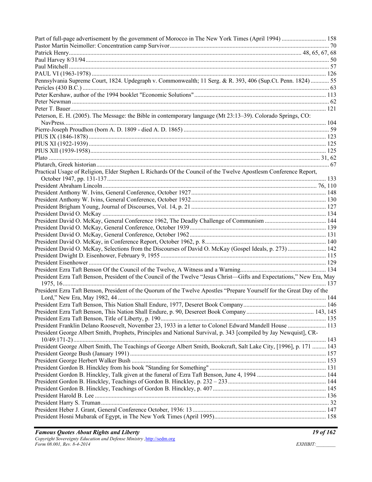| Part of full-page advertisement by the government of Morocco in The New York Times (April 1994)  158                   |  |
|------------------------------------------------------------------------------------------------------------------------|--|
|                                                                                                                        |  |
|                                                                                                                        |  |
|                                                                                                                        |  |
|                                                                                                                        |  |
|                                                                                                                        |  |
| Pennsylvania Supreme Court, 1824. Updegraph v. Commonwealth; 11 Serg. & R. 393, 406 (Sup.Ct. Penn. 1824)  55           |  |
|                                                                                                                        |  |
|                                                                                                                        |  |
|                                                                                                                        |  |
| Peterson, E. H. (2005). The Message: the Bible in contemporary language (Mt 23:13-39). Colorado Springs, CO:           |  |
|                                                                                                                        |  |
|                                                                                                                        |  |
|                                                                                                                        |  |
|                                                                                                                        |  |
|                                                                                                                        |  |
|                                                                                                                        |  |
|                                                                                                                        |  |
| Practical Usage of Religion, Elder Stephen L Richards Of the Council of the Twelve Apostlesm Conference Report,        |  |
|                                                                                                                        |  |
|                                                                                                                        |  |
|                                                                                                                        |  |
|                                                                                                                        |  |
|                                                                                                                        |  |
|                                                                                                                        |  |
|                                                                                                                        |  |
|                                                                                                                        |  |
|                                                                                                                        |  |
|                                                                                                                        |  |
| President David O. McKay, Selections from the Discourses of David O. McKay (Gospel Ideals, p. 273)  142                |  |
|                                                                                                                        |  |
|                                                                                                                        |  |
|                                                                                                                        |  |
| President Ezra Taft Benson, President of the Council of the Twelve "Jesus Christ—Gifts and Expectations," New Era, May |  |
|                                                                                                                        |  |
| President Ezra Taft Benson, President of the Quorum of the Twelve Apostles "Prepare Yourself for the Great Day of the  |  |
|                                                                                                                        |  |
|                                                                                                                        |  |
|                                                                                                                        |  |
|                                                                                                                        |  |
| President Franklin Delano Roosevelt, November 23, 1933 in a letter to Colonel Edward Mandell House  113                |  |
| President George Albert Smith, Prophets, Principles and National Survival, p. 343 [compiled by Jay Newquist], CR-      |  |
|                                                                                                                        |  |
| President George Albert Smith, The Teachings of George Albert Smith, Bookcraft, Salt Lake City, [1996], p. 171  143    |  |
|                                                                                                                        |  |
|                                                                                                                        |  |
|                                                                                                                        |  |
|                                                                                                                        |  |
|                                                                                                                        |  |
|                                                                                                                        |  |
|                                                                                                                        |  |
|                                                                                                                        |  |
|                                                                                                                        |  |
|                                                                                                                        |  |
|                                                                                                                        |  |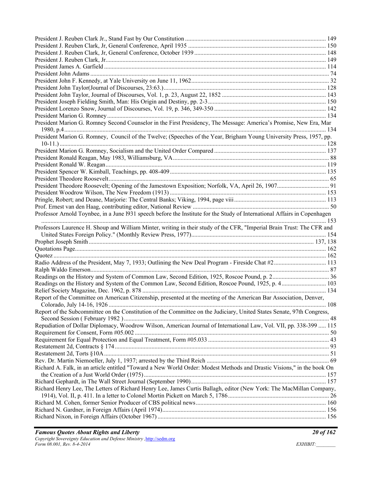| President Marion G. Romney Second Counselor in the First Presidency, The Message: America's Promise, New Era, Mar         |  |
|---------------------------------------------------------------------------------------------------------------------------|--|
| President Marion G. Romney, Council of the Twelve; (Speeches of the Year, Brigham Young University Press, 1957, pp.       |  |
|                                                                                                                           |  |
|                                                                                                                           |  |
|                                                                                                                           |  |
|                                                                                                                           |  |
|                                                                                                                           |  |
|                                                                                                                           |  |
|                                                                                                                           |  |
|                                                                                                                           |  |
|                                                                                                                           |  |
| Professor Arnold Toynbee, in a June 1931 speech before the Institute for the Study of International Affairs in Copenhagen |  |
|                                                                                                                           |  |
| Professors Laurence H. Shoup and William Minter, writing in their study of the CFR, "Imperial Brain Trust: The CFR and    |  |
|                                                                                                                           |  |
|                                                                                                                           |  |
|                                                                                                                           |  |
|                                                                                                                           |  |
|                                                                                                                           |  |
|                                                                                                                           |  |
|                                                                                                                           |  |
| Readings on the History and System of the Common Law, Second Edition, Roscoe Pound, 1925, p. 4 103                        |  |
|                                                                                                                           |  |
| Report of the Committee on American Citizenship, presented at the meeting of the American Bar Association, Denver,        |  |
|                                                                                                                           |  |
| Report of the Subcommittee on the Constitution of the Committee on the Judiciary, United States Senate, 97th Congress,    |  |
|                                                                                                                           |  |
| Repudiation of Dollar Diplomacy, Woodrow Wilson, American Journal of International Law, Vol. VII, pp. 338-399  115        |  |
|                                                                                                                           |  |
|                                                                                                                           |  |
|                                                                                                                           |  |
|                                                                                                                           |  |
|                                                                                                                           |  |
| Richard A. Falk, in an article entitled "Toward a New World Order: Modest Methods and Drastic Visions," in the book On    |  |
|                                                                                                                           |  |
|                                                                                                                           |  |
| Richard Henry Lee, The Letters of Richard Henry Lee, James Curtis Ballagh, editor (New York: The MacMillan Company,       |  |
|                                                                                                                           |  |
|                                                                                                                           |  |
|                                                                                                                           |  |
|                                                                                                                           |  |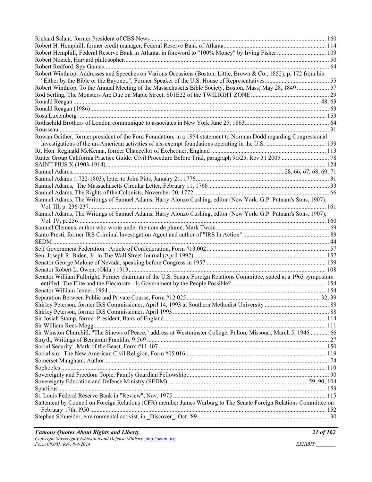| Robert Hemphill, Federal Reserve Bank in Atlanta, in foreword to "100% Money" by Irving Fisher  109                   |  |
|-----------------------------------------------------------------------------------------------------------------------|--|
|                                                                                                                       |  |
|                                                                                                                       |  |
| Robert Winthrop, Addresses and Speeches on Various Occasions (Boston: Little, Brown & Co., 1852), p. 172 from his     |  |
|                                                                                                                       |  |
| Robert Winthrop, To the Annual Meeting of the Massachusetts Bible Society, Boston, Mass; May 28, 1849  57             |  |
|                                                                                                                       |  |
|                                                                                                                       |  |
|                                                                                                                       |  |
|                                                                                                                       |  |
|                                                                                                                       |  |
|                                                                                                                       |  |
| Rowan Gaither, former president of the Ford Foundation, in a 1954 statement to Norman Dodd regarding Congressional    |  |
|                                                                                                                       |  |
|                                                                                                                       |  |
|                                                                                                                       |  |
|                                                                                                                       |  |
|                                                                                                                       |  |
|                                                                                                                       |  |
|                                                                                                                       |  |
|                                                                                                                       |  |
| Samuel Adams, The Writings of Samuel Adams, Harry Alonzo Cushing, editor (New York: G.P. Putnam's Sons, 1907),        |  |
| Samuel Adams, The Writings of Samuel Adams, Harry Alonzo Cushing, editor (New York: G.P. Putnam's Sons, 1907),        |  |
|                                                                                                                       |  |
|                                                                                                                       |  |
|                                                                                                                       |  |
|                                                                                                                       |  |
|                                                                                                                       |  |
|                                                                                                                       |  |
|                                                                                                                       |  |
|                                                                                                                       |  |
| Senator William Fulbright, Former chairman of the U.S. Senate Foreign Relations Committee, stated at a 1963 symposium |  |
|                                                                                                                       |  |
|                                                                                                                       |  |
|                                                                                                                       |  |
|                                                                                                                       |  |
|                                                                                                                       |  |
|                                                                                                                       |  |
|                                                                                                                       |  |
| Sir Winston Churchill, "The Sinews of Peace," address at Westminster College, Fulton, Missouri, March 5, 1946  66     |  |
|                                                                                                                       |  |
|                                                                                                                       |  |
|                                                                                                                       |  |
|                                                                                                                       |  |
|                                                                                                                       |  |
|                                                                                                                       |  |
|                                                                                                                       |  |
|                                                                                                                       |  |
|                                                                                                                       |  |
| Statement by Council on Foreign Relations (CFR) member James Warburg to The Senate Foreign Relations Committee on     |  |
|                                                                                                                       |  |
|                                                                                                                       |  |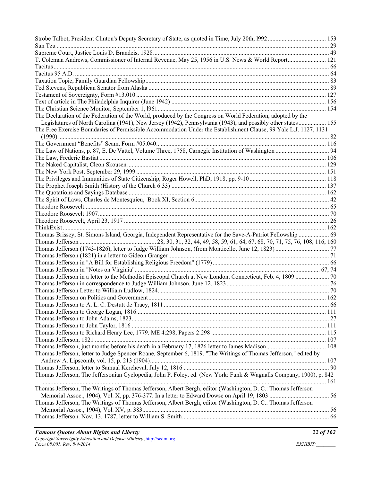| T. Coleman Andrews, Commissioner of Internal Revenue, May 25, 1956 in U.S. News & World Report 121                  |  |
|---------------------------------------------------------------------------------------------------------------------|--|
|                                                                                                                     |  |
|                                                                                                                     |  |
|                                                                                                                     |  |
|                                                                                                                     |  |
|                                                                                                                     |  |
|                                                                                                                     |  |
|                                                                                                                     |  |
| The Declaration of the Federation of the World, produced by the Congress on World Federation, adopted by the        |  |
| Legislatures of North Carolina (1941), New Jersey (1942), Pennsylvania (1943), and possibly other states 155        |  |
| The Free Exercise Boundaries of Permissible Accommodation Under the Establishment Clause, 99 Yale L.J. 1127, 1131   |  |
|                                                                                                                     |  |
|                                                                                                                     |  |
|                                                                                                                     |  |
|                                                                                                                     |  |
|                                                                                                                     |  |
|                                                                                                                     |  |
|                                                                                                                     |  |
|                                                                                                                     |  |
|                                                                                                                     |  |
|                                                                                                                     |  |
|                                                                                                                     |  |
|                                                                                                                     |  |
|                                                                                                                     |  |
|                                                                                                                     |  |
|                                                                                                                     |  |
| Thomas Brissey, St. Simons Island, Georgia, Independent Representative for the Save-A-Patriot Fellowship  69        |  |
|                                                                                                                     |  |
|                                                                                                                     |  |
|                                                                                                                     |  |
|                                                                                                                     |  |
|                                                                                                                     |  |
|                                                                                                                     |  |
|                                                                                                                     |  |
|                                                                                                                     |  |
|                                                                                                                     |  |
|                                                                                                                     |  |
|                                                                                                                     |  |
|                                                                                                                     |  |
|                                                                                                                     |  |
|                                                                                                                     |  |
|                                                                                                                     |  |
|                                                                                                                     |  |
| Thomas Jefferson, letter to Judge Spencer Roane, September 6, 1819. "The Writings of Thomas Jefferson," edited by   |  |
|                                                                                                                     |  |
|                                                                                                                     |  |
| Thomas Jefferson, The Jeffersonian Cyclopedia, John P. Foley, ed. (New York: Funk & Wagnalls Company, 1900), p. 842 |  |
|                                                                                                                     |  |
| Thomas Jefferson, The Writings of Thomas Jefferson, Albert Bergh, editor (Washington, D. C.: Thomas Jefferson       |  |
|                                                                                                                     |  |
| Thomas Jefferson, The Writings of Thomas Jefferson, Albert Bergh, editor (Washington, D. C.: Thomas Jefferson       |  |
|                                                                                                                     |  |
|                                                                                                                     |  |
|                                                                                                                     |  |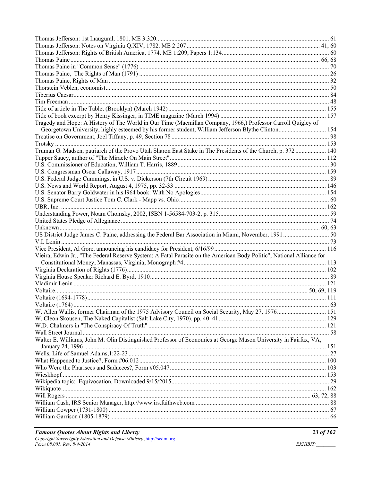| Tragedy and Hope: A History of The World in Our Time (Macmillan Company, 1966,) Professor Carroll Quigley of          |  |
|-----------------------------------------------------------------------------------------------------------------------|--|
|                                                                                                                       |  |
|                                                                                                                       |  |
|                                                                                                                       |  |
| Truman G. Madsen, patriarch of the Provo Utah Sharon East Stake in The Presidents of the Church, p. 372  140          |  |
|                                                                                                                       |  |
|                                                                                                                       |  |
|                                                                                                                       |  |
|                                                                                                                       |  |
|                                                                                                                       |  |
|                                                                                                                       |  |
|                                                                                                                       |  |
|                                                                                                                       |  |
|                                                                                                                       |  |
|                                                                                                                       |  |
|                                                                                                                       |  |
| US District Judge James C. Paine, addressing the Federal Bar Association in Miami, November, 1991 50                  |  |
|                                                                                                                       |  |
|                                                                                                                       |  |
| Vieira, Edwin Jr., "The Federal Reserve System: A Fatal Parasite on the American Body Politic"; National Alliance for |  |
|                                                                                                                       |  |
|                                                                                                                       |  |
|                                                                                                                       |  |
|                                                                                                                       |  |
|                                                                                                                       |  |
|                                                                                                                       |  |
|                                                                                                                       |  |
|                                                                                                                       |  |
|                                                                                                                       |  |
|                                                                                                                       |  |
|                                                                                                                       |  |
| Walter E. Williams, John M. Olin Distinguished Professor of Economics at George Mason University in Fairfax, VA,      |  |
|                                                                                                                       |  |
|                                                                                                                       |  |
|                                                                                                                       |  |
|                                                                                                                       |  |
|                                                                                                                       |  |
|                                                                                                                       |  |
|                                                                                                                       |  |
|                                                                                                                       |  |
|                                                                                                                       |  |
|                                                                                                                       |  |
|                                                                                                                       |  |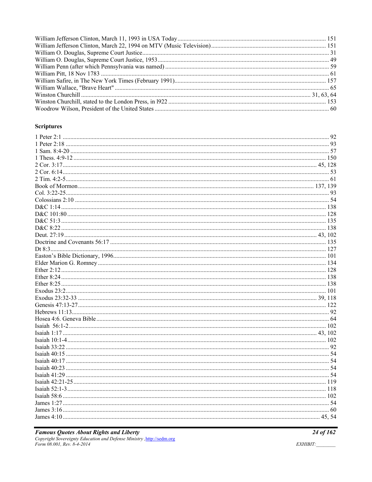#### **Scriptures**

# **Famous Quotes About Rights and Liberty**<br>Copyright Sovereignty Education and Defense Ministry , http://sedm.org<br>Form 08.001, Rev. 8-4-2014